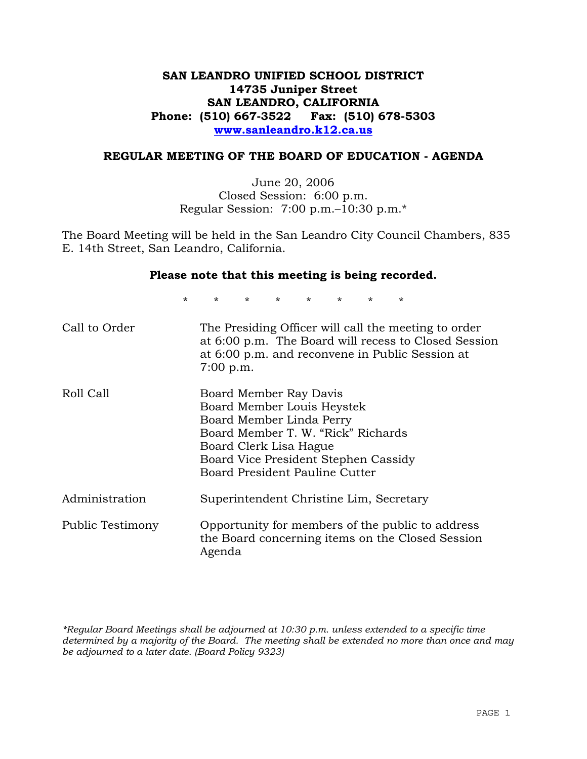# **SAN LEANDRO UNIFIED SCHOOL DISTRICT 14735 Juniper Street SAN LEANDRO, CALIFORNIA Phone: (510) 667-3522 Fax: (510) 678-5303 www.sanleandro.k12.ca.us**

### **REGULAR MEETING OF THE BOARD OF EDUCATION - AGENDA**

June 20, 2006 Closed Session: 6:00 p.m. Regular Session: 7:00 p.m.–10:30 p.m.\*

The Board Meeting will be held in the San Leandro City Council Chambers, 835 E. 14th Street, San Leandro, California.

#### **Please note that this meeting is being recorded.**

\* \* \* \* \* \* \* \*

| Call to Order    | The Presiding Officer will call the meeting to order<br>at 6:00 p.m. The Board will recess to Closed Session<br>at 6:00 p.m. and reconvene in Public Session at<br>$7:00$ p.m.                                             |
|------------------|----------------------------------------------------------------------------------------------------------------------------------------------------------------------------------------------------------------------------|
| Roll Call        | Board Member Ray Davis<br>Board Member Louis Heystek<br>Board Member Linda Perry<br>Board Member T. W. "Rick" Richards<br>Board Clerk Lisa Hague<br>Board Vice President Stephen Cassidy<br>Board President Pauline Cutter |
| Administration   | Superintendent Christine Lim, Secretary                                                                                                                                                                                    |
| Public Testimony | Opportunity for members of the public to address<br>the Board concerning items on the Closed Session<br>Agenda                                                                                                             |

*\*Regular Board Meetings shall be adjourned at 10:30 p.m. unless extended to a specific time determined by a majority of the Board. The meeting shall be extended no more than once and may be adjourned to a later date. (Board Policy 9323)*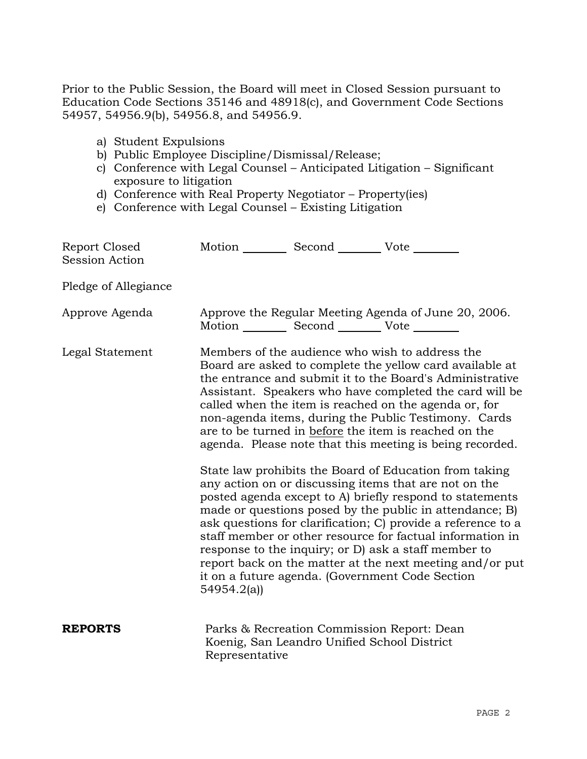Prior to the Public Session, the Board will meet in Closed Session pursuant to Education Code Sections 35146 and 48918(c), and Government Code Sections 54957, 54956.9(b), 54956.8, and 54956.9.

- a) Student Expulsions
- b) Public Employee Discipline/Dismissal/Release;
- c) Conference with Legal Counsel Anticipated Litigation Significant exposure to litigation
- d) Conference with Real Property Negotiator Property(ies)
- e) Conference with Legal Counsel Existing Litigation

| Report Closed<br><b>Session Action</b> | Motion __________ Second __________ Vote ________ |                                                                                           |                                                                                                                                                                                                                                                                                                                                                                                                                                                                                                                                            |
|----------------------------------------|---------------------------------------------------|-------------------------------------------------------------------------------------------|--------------------------------------------------------------------------------------------------------------------------------------------------------------------------------------------------------------------------------------------------------------------------------------------------------------------------------------------------------------------------------------------------------------------------------------------------------------------------------------------------------------------------------------------|
| Pledge of Allegiance                   |                                                   |                                                                                           |                                                                                                                                                                                                                                                                                                                                                                                                                                                                                                                                            |
| Approve Agenda                         | Motion __________ Second __________ Vote ________ |                                                                                           | Approve the Regular Meeting Agenda of June 20, 2006.                                                                                                                                                                                                                                                                                                                                                                                                                                                                                       |
| Legal Statement                        |                                                   |                                                                                           | Members of the audience who wish to address the<br>Board are asked to complete the yellow card available at<br>the entrance and submit it to the Board's Administrative<br>Assistant. Speakers who have completed the card will be<br>called when the item is reached on the agenda or, for<br>non-agenda items, during the Public Testimony. Cards<br>are to be turned in before the item is reached on the<br>agenda. Please note that this meeting is being recorded.                                                                   |
|                                        | 54954.2(a)                                        |                                                                                           | State law prohibits the Board of Education from taking<br>any action on or discussing items that are not on the<br>posted agenda except to A) briefly respond to statements<br>made or questions posed by the public in attendance; B)<br>ask questions for clarification; C) provide a reference to a<br>staff member or other resource for factual information in<br>response to the inquiry; or D) ask a staff member to<br>report back on the matter at the next meeting and/or put<br>it on a future agenda. (Government Code Section |
| <b>REPORTS</b>                         | Representative                                    | Parks & Recreation Commission Report: Dean<br>Koenig, San Leandro Unified School District |                                                                                                                                                                                                                                                                                                                                                                                                                                                                                                                                            |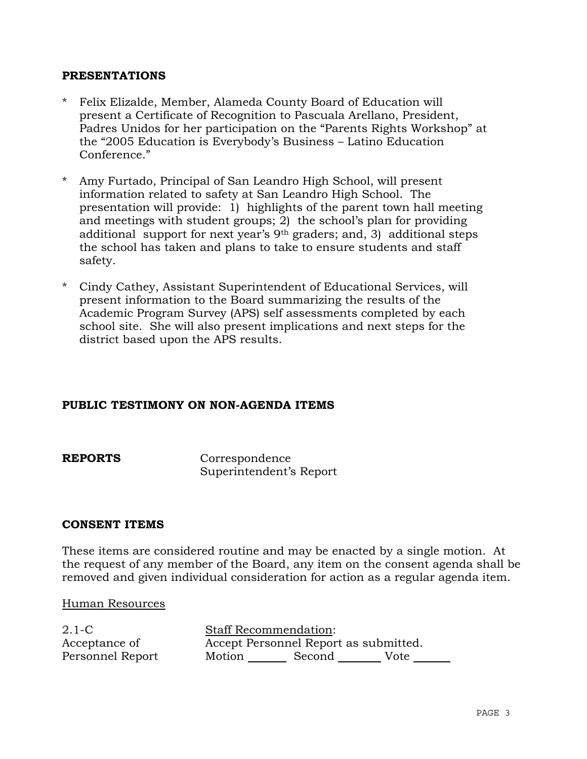### **PRESENTATIONS**

- \* Felix Elizalde, Member, Alameda County Board of Education will present a Certificate of Recognition to Pascuala Arellano, President, Padres Unidos for her participation on the "Parents Rights Workshop" at the "2005 Education is Everybody's Business – Latino Education Conference."
- Amy Furtado, Principal of San Leandro High School, will present information related to safety at San Leandro High School. The presentation will provide: 1) highlights of the parent town hall meeting and meetings with student groups; 2) the school's plan for providing additional support for next year's 9th graders; and, 3) additional steps the school has taken and plans to take to ensure students and staff safety.
- \* Cindy Cathey, Assistant Superintendent of Educational Services, will present information to the Board summarizing the results of the Academic Program Survey (APS) self assessments completed by each school site. She will also present implications and next steps for the district based upon the APS results.

### **PUBLIC TESTIMONY ON NON-AGENDA ITEMS**

**REPORTS** Correspondence Superintendent's Report

#### **CONSENT ITEMS**

These items are considered routine and may be enacted by a single motion. At the request of any member of the Board, any item on the consent agenda shall be removed and given individual consideration for action as a regular agenda item.

#### Human Resources

2.1-C Acceptance of Personnel Report

Staff Recommendation: Accept Personnel Report as submitted. Motion Second Vote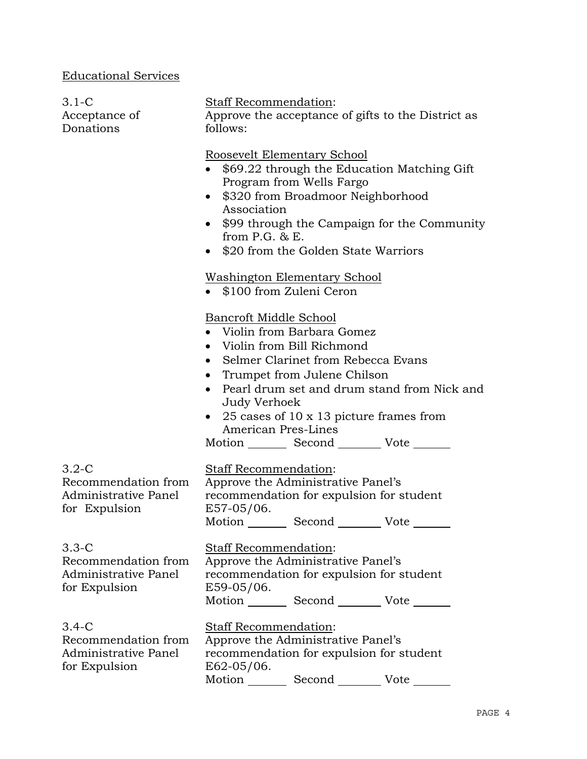# Educational Services

| $3.1-C$<br>Acceptance of<br>Donations                                   | Staff Recommendation:<br>Approve the acceptance of gifts to the District as<br>follows:                                                                                                                                                                                                                                                                                                                |  |  |
|-------------------------------------------------------------------------|--------------------------------------------------------------------------------------------------------------------------------------------------------------------------------------------------------------------------------------------------------------------------------------------------------------------------------------------------------------------------------------------------------|--|--|
|                                                                         | Roosevelt Elementary School<br>\$69.22 through the Education Matching Gift<br>Program from Wells Fargo<br>\$320 from Broadmoor Neighborhood<br>Association<br>\$99 through the Campaign for the Community<br>from $P.G.$ & $E.$<br>\$20 from the Golden State Warriors<br>$\bullet$                                                                                                                    |  |  |
|                                                                         | <u>Washington Elementary School</u><br>• \$100 from Zuleni Ceron                                                                                                                                                                                                                                                                                                                                       |  |  |
|                                                                         | <b>Bancroft Middle School</b><br>• Violin from Barbara Gomez<br>Violin from Bill Richmond<br>$\bullet$<br>Selmer Clarinet from Rebecca Evans<br>$\bullet$<br>Trumpet from Julene Chilson<br>$\bullet$<br>Pearl drum set and drum stand from Nick and<br>$\bullet$<br>Judy Verhoek<br>25 cases of 10 x 13 picture frames from<br>American Pres-Lines<br>Motion _________ Second __________ Vote _______ |  |  |
| $3.2-C$<br>Recommendation from<br>Administrative Panel<br>for Expulsion | <b>Staff Recommendation:</b><br>Approve the Administrative Panel's<br>recommendation for expulsion for student<br>E57-05/06.<br>Motion Second Vote                                                                                                                                                                                                                                                     |  |  |
| $3.3-C$<br>Recommendation from<br>Administrative Panel<br>for Expulsion | Staff Recommendation:<br>Approve the Administrative Panel's<br>recommendation for expulsion for student<br>E59-05/06.<br>Motion _________ Second __________ Vote _______                                                                                                                                                                                                                               |  |  |
| $3.4-C$<br>Recommendation from<br>Administrative Panel<br>for Expulsion | Staff Recommendation:<br>Approve the Administrative Panel's<br>recommendation for expulsion for student<br>E62-05/06.<br>Motion __________ Second ________<br>Vote                                                                                                                                                                                                                                     |  |  |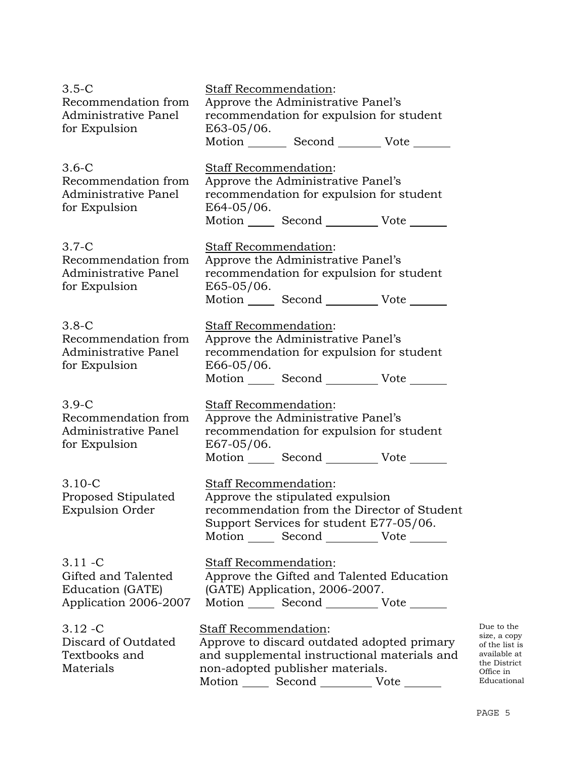| $3.5-C$                | <b>Staff Recommendation:</b>             |                                                                                |  |
|------------------------|------------------------------------------|--------------------------------------------------------------------------------|--|
| Recommendation from    | Approve the Administrative Panel's       |                                                                                |  |
| Administrative Panel   | recommendation for expulsion for student |                                                                                |  |
| for Expulsion          | E63-05/06.                               |                                                                                |  |
|                        |                                          | Motion _________ Second __________ Vote _______                                |  |
| $3.6-C$                | Staff Recommendation:                    |                                                                                |  |
| Recommendation from    |                                          | Approve the Administrative Panel's                                             |  |
| Administrative Panel   |                                          | recommendation for expulsion for student                                       |  |
| for Expulsion          | E64-05/06.                               |                                                                                |  |
|                        |                                          | Motion _______ Second _____________ Vote _______                               |  |
|                        |                                          |                                                                                |  |
| $3.7-C$                | Staff Recommendation:                    |                                                                                |  |
| Recommendation from    |                                          | Approve the Administrative Panel's                                             |  |
| Administrative Panel   | E65-05/06.                               | recommendation for expulsion for student                                       |  |
| for Expulsion          |                                          | Motion _______ Second ____________ Vote _______                                |  |
|                        |                                          |                                                                                |  |
| $3.8-C$                | Staff Recommendation:                    |                                                                                |  |
| Recommendation from    |                                          | Approve the Administrative Panel's                                             |  |
| Administrative Panel   |                                          | recommendation for expulsion for student                                       |  |
| for Expulsion          | $E66-05/06.$                             |                                                                                |  |
|                        |                                          | Motion _______ Second ____________ Vote _____                                  |  |
| $3.9-C$                |                                          |                                                                                |  |
| Recommendation from    | Staff Recommendation:                    |                                                                                |  |
| Administrative Panel   |                                          | Approve the Administrative Panel's<br>recommendation for expulsion for student |  |
| for Expulsion          | E67-05/06.                               |                                                                                |  |
|                        |                                          | Motion ________ Second ______________ Vote _____                               |  |
|                        |                                          |                                                                                |  |
| $3.10 - C$             | Staff Recommendation:                    |                                                                                |  |
| Proposed Stipulated    |                                          | Approve the stipulated expulsion                                               |  |
| <b>Expulsion Order</b> |                                          | recommendation from the Director of Student                                    |  |
|                        |                                          | Support Services for student E77-05/06.                                        |  |
|                        |                                          | Motion _______ Second ____________ Vote _______                                |  |
| $3.11 - C$             |                                          |                                                                                |  |
| Gifted and Talented    | <b>Staff Recommendation:</b>             |                                                                                |  |
| Education (GATE)       |                                          | Approve the Gifted and Talented Education<br>(GATE) Application, 2006-2007.    |  |
| Application 2006-2007  |                                          | Motion _______ Second ____________ Vote _______                                |  |
|                        |                                          |                                                                                |  |
| $3.12 - C$             | <b>Staff Recommendation:</b>             |                                                                                |  |
| Discard of Outdated    |                                          | Approve to discard outdated adopted primary                                    |  |
| Textbooks and          |                                          | and supplemental instructional materials and                                   |  |
| Materials              |                                          | non-adopted publisher materials.                                               |  |
|                        |                                          | Motion _______ Second _____________ Vote _______                               |  |

Due to the size, a copy of the list is available at the District Office in Educational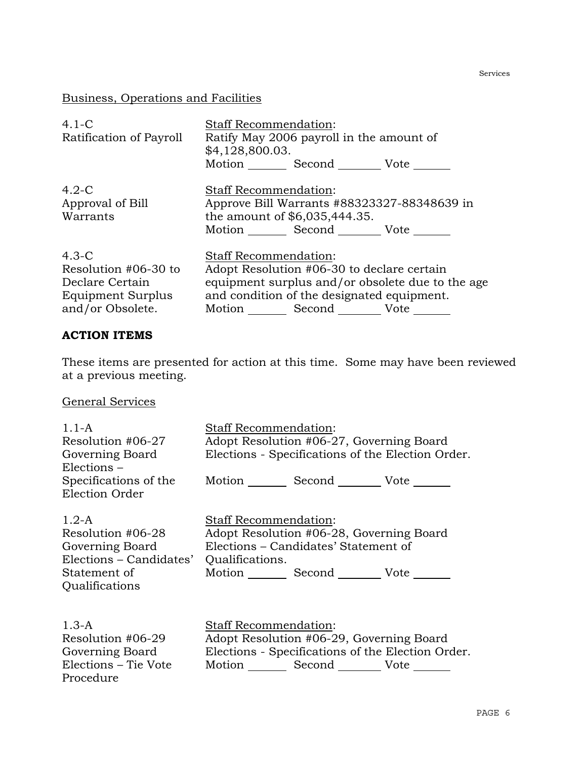# Business, Operations and Facilities

| $4.1 - C$               | <b>Staff Recommendation:</b>             |                               |                                                  |  |
|-------------------------|------------------------------------------|-------------------------------|--------------------------------------------------|--|
| Ratification of Payroll | Ratify May 2006 payroll in the amount of |                               |                                                  |  |
|                         | \$4,128,800.03.                          |                               |                                                  |  |
|                         |                                          | Motion Second Vote            |                                                  |  |
| $4.2-C$                 |                                          | <b>Staff Recommendation:</b>  |                                                  |  |
| Approval of Bill        |                                          |                               | Approve Bill Warrants #88323327-88348639 in      |  |
| Warrants                |                                          | the amount of \$6,035,444.35. |                                                  |  |
|                         |                                          | Motion Second Vote            |                                                  |  |
| $4.3-C$                 |                                          | <b>Staff Recommendation:</b>  |                                                  |  |
| Resolution #06-30 to    |                                          |                               | Adopt Resolution #06-30 to declare certain       |  |
| Declare Certain         |                                          |                               | equipment surplus and/or obsolete due to the age |  |
| Equipment Surplus       |                                          |                               | and condition of the designated equipment.       |  |
| and/or Obsolete.        | Motion                                   | Second                        | Vote                                             |  |

#### **ACTION ITEMS**

These items are presented for action at this time. Some may have been reviewed at a previous meeting.

General Services

| $1.1-A$<br>Resolution #06-27                                                                 | <b>Staff Recommendation:</b><br>Adopt Resolution #06-27, Governing Board                                                                                  |  |  |
|----------------------------------------------------------------------------------------------|-----------------------------------------------------------------------------------------------------------------------------------------------------------|--|--|
| Governing Board<br>Elections -                                                               | Elections - Specifications of the Election Order.                                                                                                         |  |  |
| Specifications of the<br>Election Order                                                      | Motion _________ Second __________ Vote _______                                                                                                           |  |  |
| $1.2 - A$<br>Resolution #06-28<br>Governing Board<br>Elections – Candidates'<br>Statement of | <b>Staff Recommendation:</b><br>Adopt Resolution #06-28, Governing Board<br>Elections - Candidates' Statement of<br>Qualifications.<br>Motion Second Vote |  |  |
| Qualifications<br>$1.3-A$                                                                    | <b>Staff Recommendation:</b>                                                                                                                              |  |  |
| Resolution #06-29                                                                            | Adopt Resolution #06-29, Governing Board                                                                                                                  |  |  |
| Governing Board<br>Elections – Tie Vote<br>Procedure                                         | Elections - Specifications of the Election Order.<br>Motion Second Vote                                                                                   |  |  |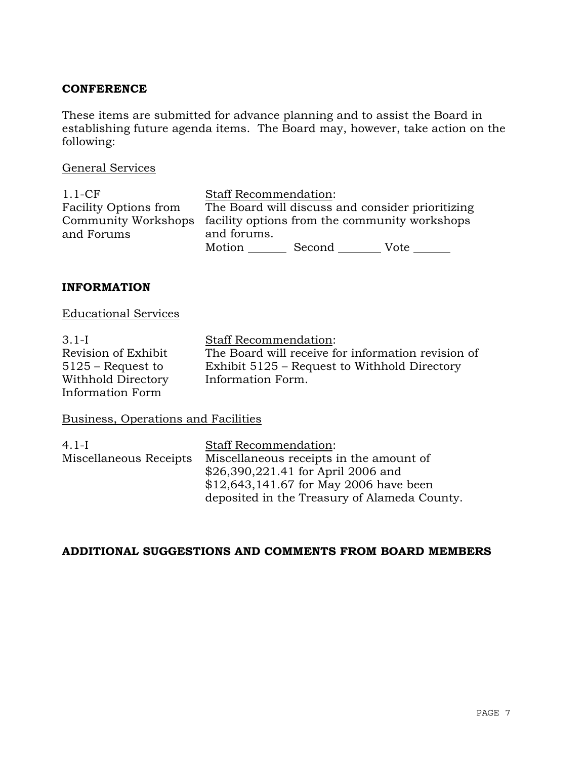### **CONFERENCE**

These items are submitted for advance planning and to assist the Board in establishing future agenda items. The Board may, however, take action on the following:

#### General Services

| $1.1$ -CF                    | <b>Staff Recommendation:</b>                                      |
|------------------------------|-------------------------------------------------------------------|
| <b>Facility Options from</b> | The Board will discuss and consider prioritizing                  |
|                              | Community Workshops facility options from the community workshops |
| and Forums                   | and forums.                                                       |
|                              | Motion<br>Second<br>Vote                                          |

### **INFORMATION**

# Educational Services

| $3.1-I$             | <b>Staff Recommendation:</b>                       |
|---------------------|----------------------------------------------------|
| Revision of Exhibit | The Board will receive for information revision of |
| $5125$ – Request to | Exhibit 5125 – Request to Withhold Directory       |
| Withhold Directory  | Information Form.                                  |
| Information Form    |                                                    |

# Business, Operations and Facilities

| <b>Staff Recommendation:</b>                 |
|----------------------------------------------|
| Miscellaneous receipts in the amount of      |
| \$26,390,221.41 for April 2006 and           |
| $$12,643,141.67$ for May 2006 have been      |
| deposited in the Treasury of Alameda County. |
|                                              |

## **ADDITIONAL SUGGESTIONS AND COMMENTS FROM BOARD MEMBERS**